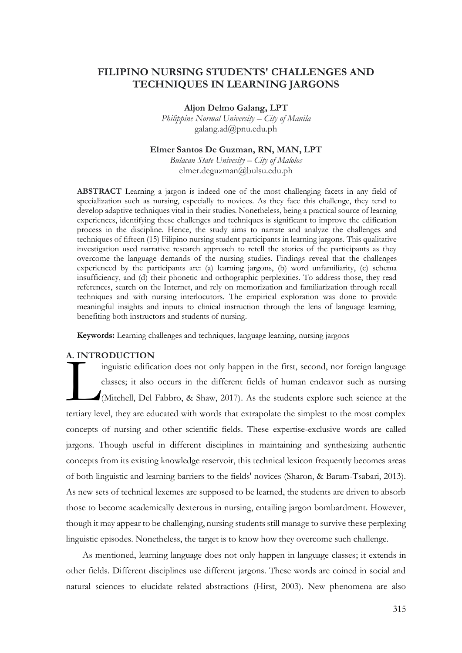# **FILIPINO NURSING STUDENTS' CHALLENGES AND TECHNIQUES IN LEARNING JARGONS**

**Aljon Delmo Galang, LPT**

*Philippine Normal University – City of Manila* galang.ad@pnu.edu.ph

### **Elmer Santos De Guzman, RN, MAN, LPT**

*Bulacan State Univesity – City of Malolos* elmer.deguzman@bulsu.edu.ph

**ABSTRACT** Learning a jargon is indeed one of the most challenging facets in any field of specialization such as nursing, especially to novices. As they face this challenge, they tend to develop adaptive techniques vital in their studies. Nonetheless, being a practical source of learning experiences, identifying these challenges and techniques is significant to improve the edification process in the discipline. Hence, the study aims to narrate and analyze the challenges and techniques of fifteen (15) Filipino nursing student participants in learning jargons. This qualitative investigation used narrative research approach to retell the stories of the participants as they overcome the language demands of the nursing studies. Findings reveal that the challenges experienced by the participants are: (a) learning jargons, (b) word unfamiliarity, (c) schema insufficiency, and (d) their phonetic and orthographic perplexities. To address those, they read references, search on the Internet, and rely on memorization and familiarization through recall techniques and with nursing interlocutors. The empirical exploration was done to provide meaningful insights and inputs to clinical instruction through the lens of language learning, benefiting both instructors and students of nursing.

**Keywords:** Learning challenges and techniques, language learning, nursing jargons

### **A. INTRODUCTION**

inguistic edification does not only happen in the first, second, nor foreign language classes; it also occurs in the different fields of human endeavor such as nursing (Mitchell, Del Fabbro, & Shaw, 2017). As the students explore such science at the tertiary level, they are educated with words that extrapolate the simplest to the most complex concepts of nursing and other scientific fields. These expertise-exclusive words are called jargons. Though useful in different disciplines in maintaining and synthesizing authentic concepts from its existing knowledge reservoir, this technical lexicon frequently becomes areas of both linguistic and learning barriers to the fields' novices (Sharon, & Baram-Tsabari, 2013). As new sets of technical lexemes are supposed to be learned, the students are driven to absorb those to become academically dexterous in nursing, entailing jargon bombardment. However, though it may appear to be challenging, nursing students still manage to survive these perplexing linguistic episodes. Nonetheless, the target is to know how they overcome such challenge. L

As mentioned, learning language does not only happen in language classes; it extends in other fields. Different disciplines use different jargons. These words are coined in social and natural sciences to elucidate related abstractions (Hirst, 2003). New phenomena are also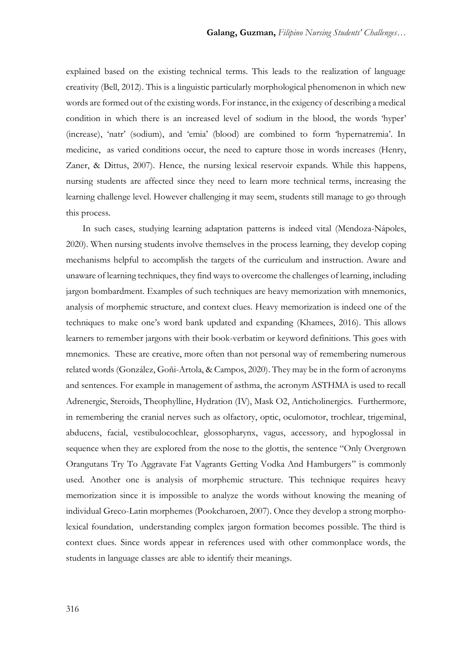explained based on the existing technical terms. This leads to the realization of language creativity (Bell, 2012). This is a linguistic particularly morphological phenomenon in which new words are formed out of the existing words. For instance, in the exigency of describing a medical condition in which there is an increased level of sodium in the blood, the words 'hyper' (increase), 'natr' (sodium), and 'emia' (blood) are combined to form 'hypernatremia'. In medicine, as varied conditions occur, the need to capture those in words increases (Henry, Zaner, & Dittus, 2007). Hence, the nursing lexical reservoir expands. While this happens, nursing students are affected since they need to learn more technical terms, increasing the learning challenge level. However challenging it may seem, students still manage to go through this process.

In such cases, studying learning adaptation patterns is indeed vital (Mendoza-Nápoles, 2020). When nursing students involve themselves in the process learning, they develop coping mechanisms helpful to accomplish the targets of the curriculum and instruction. Aware and unaware of learning techniques, they find ways to overcome the challenges of learning, including jargon bombardment. Examples of such techniques are heavy memorization with mnemonics, analysis of morphemic structure, and context clues. Heavy memorization is indeed one of the techniques to make one's word bank updated and expanding (Khamees, 2016). This allows learners to remember jargons with their book-verbatim or keyword definitions. This goes with mnemonics. These are creative, more often than not personal way of remembering numerous related words (González, Goñi-Artola, & Campos, 2020). They may be in the form of acronyms and sentences. For example in management of asthma, the acronym ASTHMA is used to recall Adrenergic, Steroids, Theophylline, Hydration (IV), Mask O2, Anticholinergics. Furthermore, in remembering the cranial nerves such as olfactory, optic, oculomotor, trochlear, trigeminal, abducens, facial, vestibulocochlear, glossopharynx, vagus, accessory, and hypoglossal in sequence when they are explored from the nose to the glottis, the sentence "Only Overgrown Orangutans Try To Aggravate Fat Vagrants Getting Vodka And Hamburgers" is commonly used. Another one is analysis of morphemic structure. This technique requires heavy memorization since it is impossible to analyze the words without knowing the meaning of individual Greco-Latin morphemes (Pookcharoen, 2007). Once they develop a strong morpholexical foundation, understanding complex jargon formation becomes possible. The third is context clues. Since words appear in references used with other commonplace words, the students in language classes are able to identify their meanings.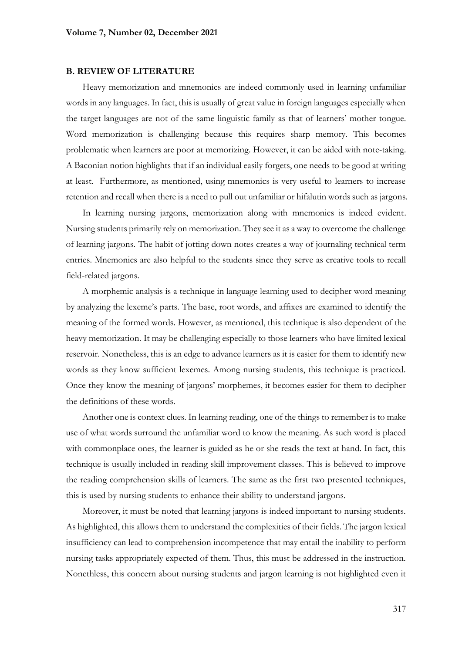#### **B. REVIEW OF LITERATURE**

Heavy memorization and mnemonics are indeed commonly used in learning unfamiliar words in any languages. In fact, this is usually of great value in foreign languages especially when the target languages are not of the same linguistic family as that of learners' mother tongue. Word memorization is challenging because this requires sharp memory. This becomes problematic when learners are poor at memorizing. However, it can be aided with note-taking. A Baconian notion highlights that if an individual easily forgets, one needs to be good at writing at least. Furthermore, as mentioned, using mnemonics is very useful to learners to increase retention and recall when there is a need to pull out unfamiliar or hifalutin words such as jargons.

In learning nursing jargons, memorization along with mnemonics is indeed evident. Nursing students primarily rely on memorization. They see it as a way to overcome the challenge of learning jargons. The habit of jotting down notes creates a way of journaling technical term entries. Mnemonics are also helpful to the students since they serve as creative tools to recall field-related jargons.

A morphemic analysis is a technique in language learning used to decipher word meaning by analyzing the lexeme's parts. The base, root words, and affixes are examined to identify the meaning of the formed words. However, as mentioned, this technique is also dependent of the heavy memorization. It may be challenging especially to those learners who have limited lexical reservoir. Nonetheless, this is an edge to advance learners as it is easier for them to identify new words as they know sufficient lexemes. Among nursing students, this technique is practiced. Once they know the meaning of jargons' morphemes, it becomes easier for them to decipher the definitions of these words.

Another one is context clues. In learning reading, one of the things to remember is to make use of what words surround the unfamiliar word to know the meaning. As such word is placed with commonplace ones, the learner is guided as he or she reads the text at hand. In fact, this technique is usually included in reading skill improvement classes. This is believed to improve the reading comprehension skills of learners. The same as the first two presented techniques, this is used by nursing students to enhance their ability to understand jargons.

Moreover, it must be noted that learning jargons is indeed important to nursing students. As highlighted, this allows them to understand the complexities of their fields. The jargon lexical insufficiency can lead to comprehension incompetence that may entail the inability to perform nursing tasks appropriately expected of them. Thus, this must be addressed in the instruction. Nonethless, this concern about nursing students and jargon learning is not highlighted even it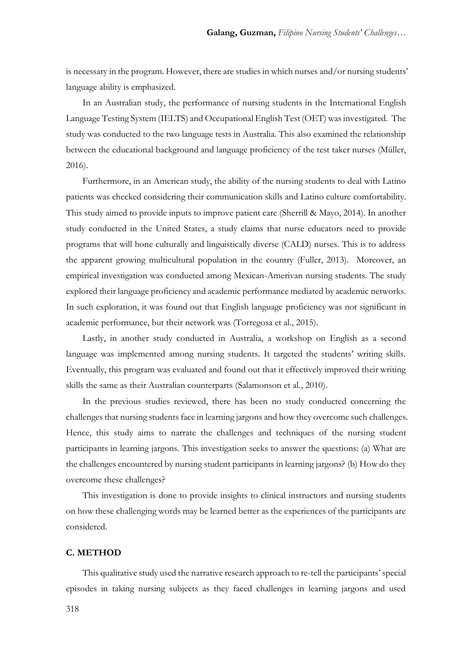is necessary in the program. However, there are studies in which nurses and/or nursing students' language ability is emphasized.

In an Australian study, the performance of nursing students in the International English Language Testing System (IELTS) and Occupational English Test (OET) was investigated. The study was conducted to the two language tests in Australia. This also examined the relationship between the educational background and language proficiency of the test taker nurses (Müller, 2016).

Furthermore, in an American study, the ability of the nursing students to deal with Latino patients was checked considering their communication skills and Latino culture comfortability. This study aimed to provide inputs to improve patient care (Sherrill & Mayo, 2014). In another study conducted in the United States, a study claims that nurse educators need to provide programs that will hone culturally and linguistically diverse (CALD) nurses. This is to address the apparent growing multicultural population in the country (Fuller, 2013). Moreover, an empirical investigation was conducted among Mexican-Amerivan nursing students. The study explored their language proficiency and academic performance mediated by academic networks. In such exploration, it was found out that English language proficiency was not significant in academic performance, but their network was (Torregosa et al., 2015).

Lastly, in another study conducted in Australia, a workshop on English as a second language was implemented among nursing students. It targeted the students' writing skills. Eventually, this program was evaluated and found out that it effectively improved their writing skills the same as their Australian counterparts (Salamonson et al., 2010).

In the previous studies reviewed, there has been no study conducted concerning the challenges that nursing students face in learning jargons and how they overcome such challenges. Hence, this study aims to narrate the challenges and techniques of the nursing student participants in learning jargons. This investigation seeks to answer the questions: (a) What are the challenges encountered by nursing student participants in learning jargons? (b) How do they overcome these challenges?

This investigation is done to provide insights to clinical instructors and nursing students on how these challenging words may be learned better as the experiences of the participants are considered.

### **C. METHOD**

This qualitative study used the narrative research approach to re-tell the participants' special episodes in taking nursing subjects as they faced challenges in learning jargons and used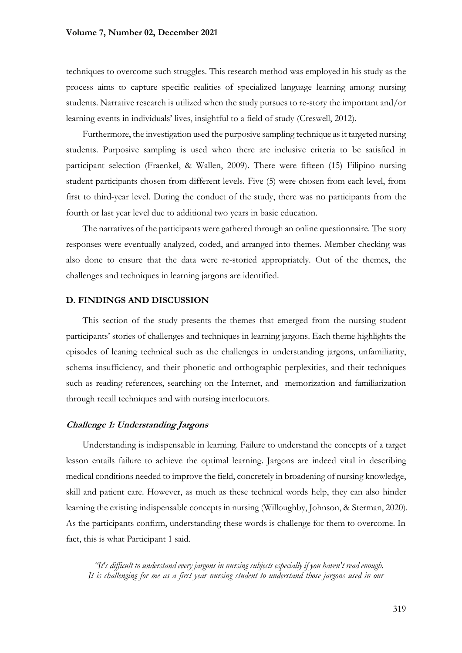#### **Volume 7, Number 02, December 2021**

techniques to overcome such struggles. This research method was employed in his study as the process aims to capture specific realities of specialized language learning among nursing students. Narrative research is utilized when the study pursues to re-story the important and/or learning events in individuals' lives, insightful to a field of study (Creswell, 2012).

Furthermore, the investigation used the purposive sampling technique as it targeted nursing students. Purposive sampling is used when there are inclusive criteria to be satisfied in participant selection (Fraenkel, & Wallen, 2009). There were fifteen (15) Filipino nursing student participants chosen from different levels. Five (5) were chosen from each level, from first to third-year level. During the conduct of the study, there was no participants from the fourth or last year level due to additional two years in basic education.

The narratives of the participants were gathered through an online questionnaire. The story responses were eventually analyzed, coded, and arranged into themes. Member checking was also done to ensure that the data were re-storied appropriately. Out of the themes, the challenges and techniques in learning jargons are identified.

### **D. FINDINGS AND DISCUSSION**

This section of the study presents the themes that emerged from the nursing student participants' stories of challenges and techniques in learning jargons. Each theme highlights the episodes of leaning technical such as the challenges in understanding jargons, unfamiliarity, schema insufficiency, and their phonetic and orthographic perplexities, and their techniques such as reading references, searching on the Internet, and memorization and familiarization through recall techniques and with nursing interlocutors.

### **Challenge 1: Understanding Jargons**

Understanding is indispensable in learning. Failure to understand the concepts of a target lesson entails failure to achieve the optimal learning. Jargons are indeed vital in describing medical conditions needed to improve the field, concretely in broadening of nursing knowledge, skill and patient care. However, as much as these technical words help, they can also hinder learning the existing indispensable concepts in nursing (Willoughby, Johnson, & Sterman, 2020). As the participants confirm, understanding these words is challenge for them to overcome. In fact, this is what Participant 1 said.

*"It's difficult to understand every jargons in nursing subjects especially if you haven't read enough. It is challenging for me as a first year nursing student to understand those jargons used in our*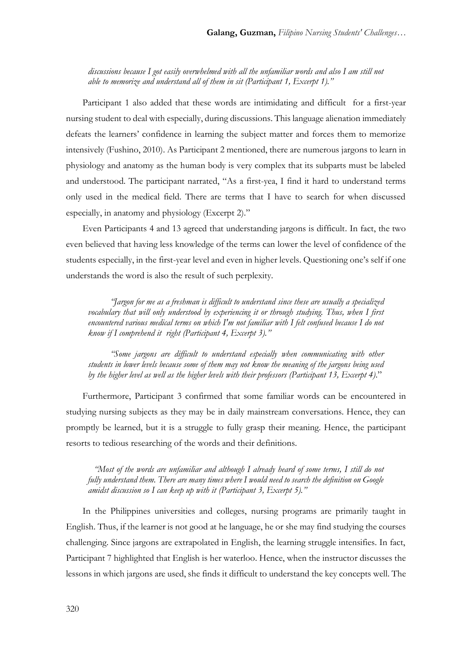*discussions because I got easily overwhelmed with all the unfamiliar words and also I am still not able to memorize and understand all of them in sit (Participant 1, Excerpt 1)."*

Participant 1 also added that these words are intimidating and difficult for a first-year nursing student to deal with especially, during discussions. This language alienation immediately defeats the learners' confidence in learning the subject matter and forces them to memorize intensively (Fushino, 2010). As Participant 2 mentioned, there are numerous jargons to learn in physiology and anatomy as the human body is very complex that its subparts must be labeled and understood. The participant narrated, "As a first-yea, I find it hard to understand terms only used in the medical field. There are terms that I have to search for when discussed especially, in anatomy and physiology (Excerpt 2)."

Even Participants 4 and 13 agreed that understanding jargons is difficult. In fact, the two even believed that having less knowledge of the terms can lower the level of confidence of the students especially, in the first-year level and even in higher levels. Questioning one's self if one understands the word is also the result of such perplexity.

*"Jargon for me as a freshman is difficult to understand since these are usually a specialized vocabulary that will only understood by experiencing it or through studying. Thus, when I first encountered various medical terms on which I'm not familiar with I felt confused because I do not know if I comprehend it right (Participant 4, Excerpt 3)."*

*"Some jargons are difficult to understand especially when communicating with other students in lower levels because some of them may not know the meaning of the jargons being used by the higher level as well as the higher levels with their professors (Participant 13, Excerpt 4)*."

Furthermore, Participant 3 confirmed that some familiar words can be encountered in studying nursing subjects as they may be in daily mainstream conversations. Hence, they can promptly be learned, but it is a struggle to fully grasp their meaning. Hence, the participant resorts to tedious researching of the words and their definitions.

*"Most of the words are unfamiliar and although I already heard of some terms, I still do not fully understand them. There are many times where I would need to search the definition on Google amidst discussion so I can keep up with it (Participant 3, Excerpt 5)."*

In the Philippines universities and colleges, nursing programs are primarily taught in English. Thus, if the learner is not good at he language, he or she may find studying the courses challenging. Since jargons are extrapolated in English, the learning struggle intensifies. In fact, Participant 7 highlighted that English is her waterloo. Hence, when the instructor discusses the lessons in which jargons are used, she finds it difficult to understand the key concepts well. The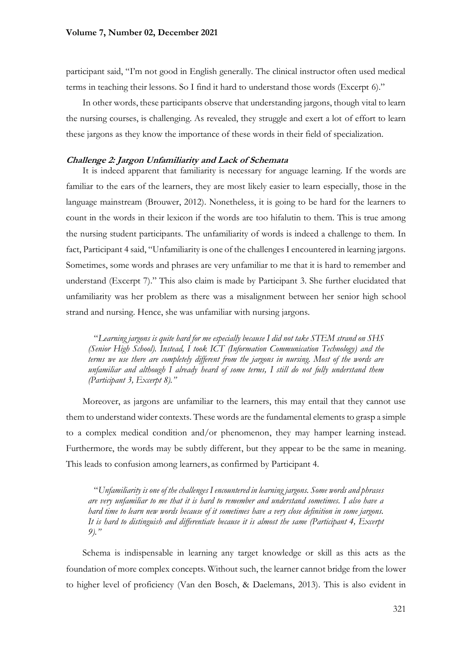participant said, "I'm not good in English generally. The clinical instructor often used medical terms in teaching their lessons. So I find it hard to understand those words (Excerpt 6)."

In other words, these participants observe that understanding jargons, though vital to learn the nursing courses, is challenging. As revealed, they struggle and exert a lot of effort to learn these jargons as they know the importance of these words in their field of specialization.

### **Challenge 2: Jargon Unfamiliarity and Lack of Schemata**

It is indeed apparent that familiarity is necessary for anguage learning. If the words are familiar to the ears of the learners, they are most likely easier to learn especially, those in the language mainstream (Brouwer, 2012). Nonetheless, it is going to be hard for the learners to count in the words in their lexicon if the words are too hifalutin to them. This is true among the nursing student participants. The unfamiliarity of words is indeed a challenge to them. In fact, Participant 4 said, "Unfamiliarity is one of the challenges I encountered in learning jargons. Sometimes, some words and phrases are very unfamiliar to me that it is hard to remember and understand (Excerpt 7)." This also claim is made by Participant 3. She further elucidated that unfamiliarity was her problem as there was a misalignment between her senior high school strand and nursing. Hence, she was unfamiliar with nursing jargons.

"*Learning jargons is quite hard for me especially because I did not take STEM strand on SHS (Senior High School). Instead, I took ICT (Information Communication Technology) and the terms we use there are completely different from the jargons in nursing. Most of the words are unfamiliar and although I already heard of some terms, I still do not fully understand them (Participant 3, Excerpt 8)."* 

Moreover, as jargons are unfamiliar to the learners, this may entail that they cannot use them to understand wider contexts. These words are the fundamental elements to grasp a simple to a complex medical condition and/or phenomenon, they may hamper learning instead. Furthermore, the words may be subtly different, but they appear to be the same in meaning. This leads to confusion among learners, as confirmed by Participant 4.

"*Unfamiliarity is one of the challenges I encountered in learning jargons. Some words and phrases are very unfamiliar to me that it is hard to remember and understand sometimes. I also have a hard time to learn new words because of it sometimes have a very close definition in some jargons. It is hard to distinguish and differentiate because it is almost the same (Participant 4, Excerpt 9)."*

Schema is indispensable in learning any target knowledge or skill as this acts as the foundation of more complex concepts. Without such, the learner cannot bridge from the lower to higher level of proficiency (Van den Bosch, & Daelemans, 2013). This is also evident in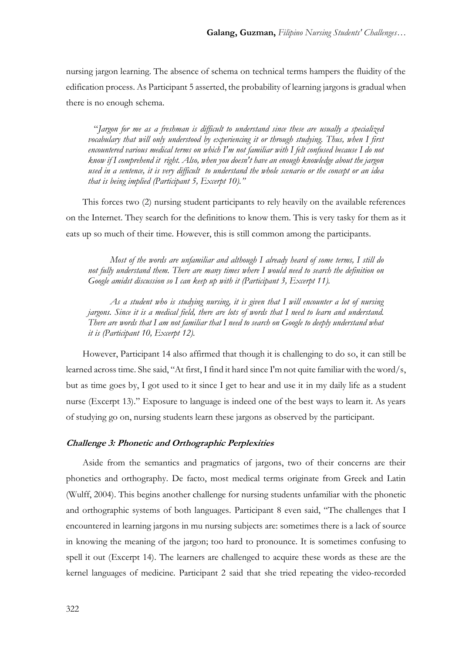nursing jargon learning. The absence of schema on technical terms hampers the fluidity of the edification process. As Participant 5 asserted, the probability of learning jargons is gradual when there is no enough schema.

"*Jargon for me as a freshman is difficult to understand since these are usually a specialized vocabulary that will only understood by experiencing it or through studying. Thus, when I first encountered various medical terms on which I'm not familiar with I felt confused because I do not know if I comprehend it right. Also, when you doesn't have an enough knowledge about the jargon used in a sentence, it is very difficult to understand the whole scenario or the concept or an idea that is being implied (Participant 5, Excerpt 10)."*

This forces two (2) nursing student participants to rely heavily on the available references on the Internet. They search for the definitions to know them. This is very tasky for them as it eats up so much of their time. However, this is still common among the participants.

*Most of the words are unfamiliar and although I already heard of some terms, I still do not fully understand them. There are many times where I would need to search the definition on Google amidst discussion so I can keep up with it (Participant 3, Excerpt 11).*

*As a student who is studying nursing, it is given that I will encounter a lot of nursing jargons. Since it is a medical field, there are lots of words that I need to learn and understand. There are words that I am not familiar that I need to search on Google to deeply understand what it is (Participant 10, Excerpt 12).*

However, Participant 14 also affirmed that though it is challenging to do so, it can still be learned across time. She said, "At first, I find it hard since I'm not quite familiar with the word/s, but as time goes by, I got used to it since I get to hear and use it in my daily life as a student nurse (Excerpt 13)." Exposure to language is indeed one of the best ways to learn it. As years of studying go on, nursing students learn these jargons as observed by the participant.

### **Challenge 3: Phonetic and Orthographic Perplexities**

Aside from the semantics and pragmatics of jargons, two of their concerns are their phonetics and orthography. De facto, most medical terms originate from Greek and Latin (Wulff, 2004). This begins another challenge for nursing students unfamiliar with the phonetic and orthographic systems of both languages. Participant 8 even said, "The challenges that I encountered in learning jargons in mu nursing subjects are: sometimes there is a lack of source in knowing the meaning of the jargon; too hard to pronounce. It is sometimes confusing to spell it out (Excerpt 14). The learners are challenged to acquire these words as these are the kernel languages of medicine. Participant 2 said that she tried repeating the video-recorded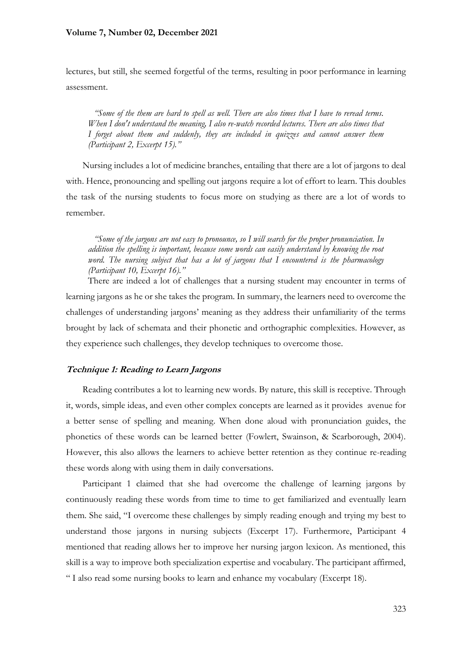### **Volume 7, Number 02, December 2021**

lectures, but still, she seemed forgetful of the terms, resulting in poor performance in learning assessment.

*"Some of the them are hard to spell as well. There are also times that I have to reread terms. When I don't understand the meaning, I also re-watch recorded lectures. There are also times that I forget about them and suddenly, they are included in quizzes and cannot answer them (Participant 2, Excerpt 15)."*

Nursing includes a lot of medicine branches, entailing that there are a lot of jargons to deal with. Hence, pronouncing and spelling out jargons require a lot of effort to learn. This doubles the task of the nursing students to focus more on studying as there are a lot of words to remember.

*"Some of the jargons are not easy to pronounce, so I will search for the proper pronunciation. In addition the spelling is important, because some words can easily understand by knowing the root word. The nursing subject that has a lot of jargons that I encountered is the pharmacology (Participant 10, Excerpt 16)."*

There are indeed a lot of challenges that a nursing student may encounter in terms of learning jargons as he or she takes the program. In summary, the learners need to overcome the challenges of understanding jargons' meaning as they address their unfamiliarity of the terms brought by lack of schemata and their phonetic and orthographic complexities. However, as they experience such challenges, they develop techniques to overcome those.

### **Technique 1: Reading to Learn Jargons**

Reading contributes a lot to learning new words. By nature, this skill is receptive. Through it, words, simple ideas, and even other complex concepts are learned as it provides avenue for a better sense of spelling and meaning. When done aloud with pronunciation guides, the phonetics of these words can be learned better (Fowlert, Swainson, & Scarborough, 2004). However, this also allows the learners to achieve better retention as they continue re-reading these words along with using them in daily conversations.

Participant 1 claimed that she had overcome the challenge of learning jargons by continuously reading these words from time to time to get familiarized and eventually learn them. She said, "I overcome these challenges by simply reading enough and trying my best to understand those jargons in nursing subjects (Excerpt 17). Furthermore, Participant 4 mentioned that reading allows her to improve her nursing jargon lexicon. As mentioned, this skill is a way to improve both specialization expertise and vocabulary. The participant affirmed, " I also read some nursing books to learn and enhance my vocabulary (Excerpt 18).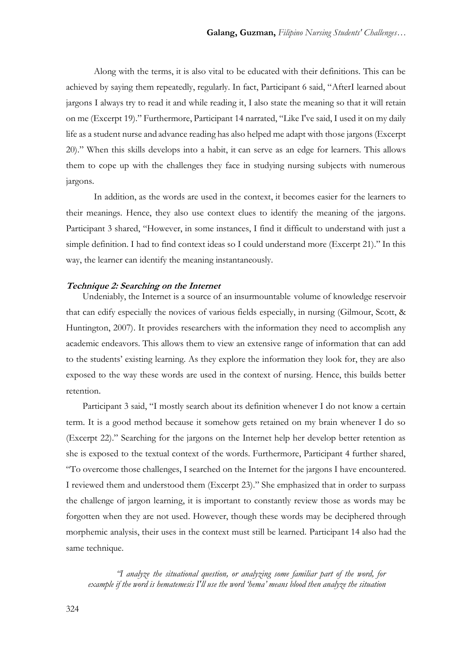Along with the terms, it is also vital to be educated with their definitions. This can be achieved by saying them repeatedly, regularly. In fact, Participant 6 said, "AfterI learned about jargons I always try to read it and while reading it, I also state the meaning so that it will retain on me (Excerpt 19)." Furthermore, Participant 14 narrated, "Like I've said, I used it on my daily life as a student nurse and advance reading has also helped me adapt with those jargons (Excerpt 20)." When this skills develops into a habit, it can serve as an edge for learners. This allows them to cope up with the challenges they face in studying nursing subjects with numerous jargons.

In addition, as the words are used in the context, it becomes easier for the learners to their meanings. Hence, they also use context clues to identify the meaning of the jargons. Participant 3 shared, "However, in some instances, I find it difficult to understand with just a simple definition. I had to find context ideas so I could understand more (Excerpt 21)." In this way, the learner can identify the meaning instantaneously.

### **Technique 2: Searching on the Internet**

Undeniably, the Internet is a source of an insurmountable volume of knowledge reservoir that can edify especially the novices of various fields especially, in nursing (Gilmour, Scott, & Huntington, 2007). It provides researchers with the information they need to accomplish any academic endeavors. This allows them to view an extensive range of information that can add to the students' existing learning. As they explore the information they look for, they are also exposed to the way these words are used in the context of nursing. Hence, this builds better retention.

Participant 3 said, "I mostly search about its definition whenever I do not know a certain term. It is a good method because it somehow gets retained on my brain whenever I do so (Excerpt 22)." Searching for the jargons on the Internet help her develop better retention as she is exposed to the textual context of the words. Furthermore, Participant 4 further shared, "To overcome those challenges, I searched on the Internet for the jargons I have encountered. I reviewed them and understood them (Excerpt 23)." She emphasized that in order to surpass the challenge of jargon learning, it is important to constantly review those as words may be forgotten when they are not used. However, though these words may be deciphered through morphemic analysis, their uses in the context must still be learned. Participant 14 also had the same technique.

*"I analyze the situational question, or analyzing some familiar part of the word, for example if the word is hematemesis I'll use the word 'hema' means blood then analyze the situation*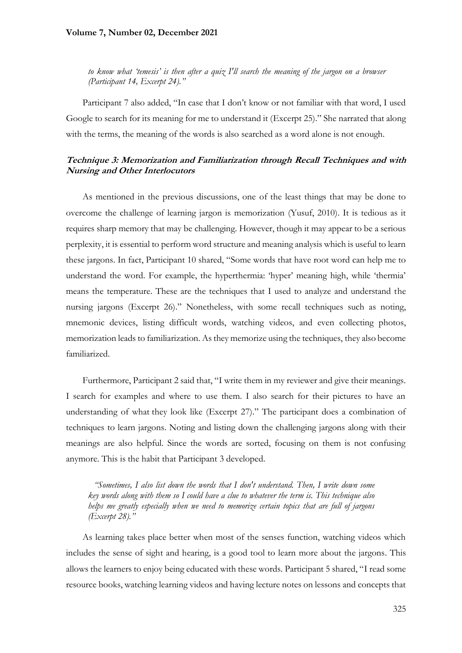### **Volume 7, Number 02, December 2021**

*to know what 'temesis' is then after a quiz I'll search the meaning of the jargon on a browser (Participant 14, Excerpt 24)."*

Participant 7 also added, "In case that I don't know or not familiar with that word, I used Google to search for its meaning for me to understand it (Excerpt 25)." She narrated that along with the terms, the meaning of the words is also searched as a word alone is not enough.

## **Technique 3: Memorization and Familiarization through Recall Techniques and with Nursing and Other Interlocutors**

As mentioned in the previous discussions, one of the least things that may be done to overcome the challenge of learning jargon is memorization (Yusuf, 2010). It is tedious as it requires sharp memory that may be challenging. However, though it may appear to be a serious perplexity, it is essential to perform word structure and meaning analysis which is useful to learn these jargons. In fact, Participant 10 shared, "Some words that have root word can help me to understand the word. For example, the hyperthermia: 'hyper' meaning high, while 'thermia' means the temperature. These are the techniques that I used to analyze and understand the nursing jargons (Excerpt 26)." Nonetheless, with some recall techniques such as noting, mnemonic devices, listing difficult words, watching videos, and even collecting photos, memorization leads to familiarization. As they memorize using the techniques, they also become familiarized.

Furthermore, Participant 2 said that, "I write them in my reviewer and give their meanings. I search for examples and where to use them. I also search for their pictures to have an understanding of what they look like (Excerpt 27)." The participant does a combination of techniques to learn jargons. Noting and listing down the challenging jargons along with their meanings are also helpful. Since the words are sorted, focusing on them is not confusing anymore. This is the habit that Participant 3 developed.

*"Sometimes, I also list down the words that I don't understand. Then, I write down some key words along with them so I could have a clue to whatever the term is. This technique also helps me greatly especially when we need to memorize certain topics that are full of jargons (Excerpt 28)."*

As learning takes place better when most of the senses function, watching videos which includes the sense of sight and hearing, is a good tool to learn more about the jargons. This allows the learners to enjoy being educated with these words. Participant 5 shared, "I read some resource books, watching learning videos and having lecture notes on lessons and concepts that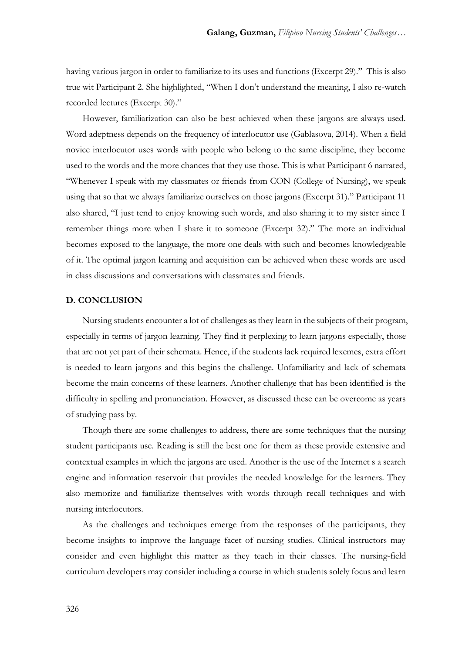having various jargon in order to familiarize to its uses and functions (Excerpt 29)." This is also true wit Participant 2. She highlighted, "When I don't understand the meaning, I also re-watch recorded lectures (Excerpt 30)."

However, familiarization can also be best achieved when these jargons are always used. Word adeptness depends on the frequency of interlocutor use (Gablasova, 2014). When a field novice interlocutor uses words with people who belong to the same discipline, they become used to the words and the more chances that they use those. This is what Participant 6 narrated, "Whenever I speak with my classmates or friends from CON (College of Nursing), we speak using that so that we always familiarize ourselves on those jargons (Excerpt 31)." Participant 11 also shared, "I just tend to enjoy knowing such words, and also sharing it to my sister since I remember things more when I share it to someone (Excerpt 32)." The more an individual becomes exposed to the language, the more one deals with such and becomes knowledgeable of it. The optimal jargon learning and acquisition can be achieved when these words are used in class discussions and conversations with classmates and friends.

### **D. CONCLUSION**

Nursing students encounter a lot of challenges as they learn in the subjects of their program, especially in terms of jargon learning. They find it perplexing to learn jargons especially, those that are not yet part of their schemata. Hence, if the students lack required lexemes, extra effort is needed to learn jargons and this begins the challenge. Unfamiliarity and lack of schemata become the main concerns of these learners. Another challenge that has been identified is the difficulty in spelling and pronunciation. However, as discussed these can be overcome as years of studying pass by.

Though there are some challenges to address, there are some techniques that the nursing student participants use. Reading is still the best one for them as these provide extensive and contextual examples in which the jargons are used. Another is the use of the Internet s a search engine and information reservoir that provides the needed knowledge for the learners. They also memorize and familiarize themselves with words through recall techniques and with nursing interlocutors.

As the challenges and techniques emerge from the responses of the participants, they become insights to improve the language facet of nursing studies. Clinical instructors may consider and even highlight this matter as they teach in their classes. The nursing-field curriculum developers may consider including a course in which students solely focus and learn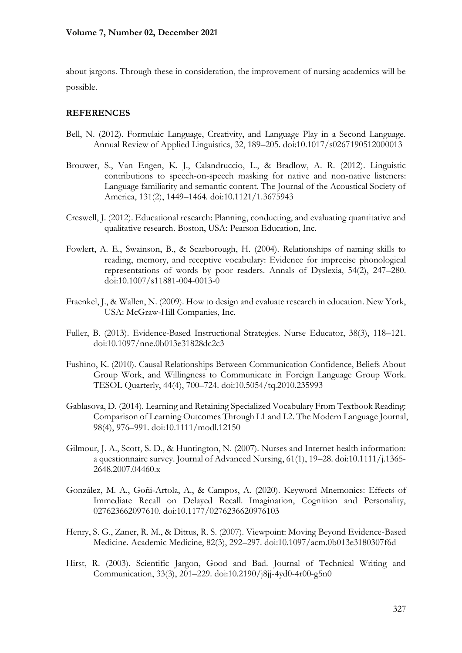about jargons. Through these in consideration, the improvement of nursing academics will be possible.

# **REFERENCES**

- Bell, N. (2012). Formulaic Language, Creativity, and Language Play in a Second Language. Annual Review of Applied Linguistics, 32, 189–205. doi:10.1017/s0267190512000013
- Brouwer, S., Van Engen, K. J., Calandruccio, L., & Bradlow, A. R. (2012). Linguistic contributions to speech-on-speech masking for native and non-native listeners: Language familiarity and semantic content. The Journal of the Acoustical Society of America, 131(2), 1449–1464. doi:10.1121/1.3675943
- Creswell, J. (2012). Educational research: Planning, conducting, and evaluating quantitative and qualitative research. Boston, USA: Pearson Education, Inc.
- Fowlert, A. E., Swainson, B., & Scarborough, H. (2004). Relationships of naming skills to reading, memory, and receptive vocabulary: Evidence for imprecise phonological representations of words by poor readers. Annals of Dyslexia, 54(2), 247–280. doi:10.1007/s11881-004-0013-0
- Fraenkel, J., & Wallen, N. (2009). How to design and evaluate research in education. New York, USA: McGraw-Hill Companies, Inc.
- Fuller, B. (2013). Evidence-Based Instructional Strategies. Nurse Educator, 38(3), 118–121. doi:10.1097/nne.0b013e31828dc2c3
- Fushino, K. (2010). Causal Relationships Between Communication Confidence, Beliefs About Group Work, and Willingness to Communicate in Foreign Language Group Work. TESOL Quarterly, 44(4), 700–724. doi:10.5054/tq.2010.235993
- Gablasova, D. (2014). Learning and Retaining Specialized Vocabulary From Textbook Reading: Comparison of Learning Outcomes Through L1 and L2. The Modern Language Journal, 98(4), 976–991. doi:10.1111/modl.12150
- Gilmour, J. A., Scott, S. D., & Huntington, N. (2007). Nurses and Internet health information: a questionnaire survey. Journal of Advanced Nursing, 61(1), 19–28. doi:10.1111/j.1365- 2648.2007.04460.x
- González, M. A., Goñi-Artola, A., & Campos, A. (2020). Keyword Mnemonics: Effects of Immediate Recall on Delayed Recall. Imagination, Cognition and Personality, 027623662097610. doi:10.1177/0276236620976103
- Henry, S. G., Zaner, R. M., & Dittus, R. S. (2007). Viewpoint: Moving Beyond Evidence-Based Medicine. Academic Medicine, 82(3), 292–297. doi:10.1097/acm.0b013e3180307f6d
- Hirst, R. (2003). Scientific Jargon, Good and Bad. Journal of Technical Writing and Communication, 33(3), 201–229. doi:10.2190/j8jj-4yd0-4r00-g5n0